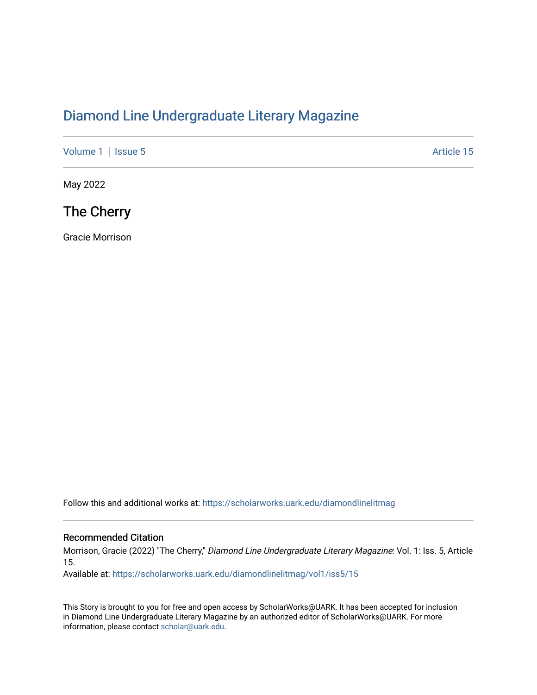## [Diamond Line Undergraduate Literary Magazine](https://scholarworks.uark.edu/diamondlinelitmag)

[Volume 1](https://scholarworks.uark.edu/diamondlinelitmag/vol1) | [Issue 5](https://scholarworks.uark.edu/diamondlinelitmag/vol1/iss5) Article 15

May 2022

The Cherry

Gracie Morrison

Follow this and additional works at: [https://scholarworks.uark.edu/diamondlinelitmag](https://scholarworks.uark.edu/diamondlinelitmag?utm_source=scholarworks.uark.edu%2Fdiamondlinelitmag%2Fvol1%2Fiss5%2F15&utm_medium=PDF&utm_campaign=PDFCoverPages) 

## Recommended Citation

Morrison, Gracie (2022) "The Cherry," Diamond Line Undergraduate Literary Magazine: Vol. 1: Iss. 5, Article 15.

Available at: [https://scholarworks.uark.edu/diamondlinelitmag/vol1/iss5/15](https://scholarworks.uark.edu/diamondlinelitmag/vol1/iss5/15?utm_source=scholarworks.uark.edu%2Fdiamondlinelitmag%2Fvol1%2Fiss5%2F15&utm_medium=PDF&utm_campaign=PDFCoverPages) 

This Story is brought to you for free and open access by ScholarWorks@UARK. It has been accepted for inclusion in Diamond Line Undergraduate Literary Magazine by an authorized editor of ScholarWorks@UARK. For more information, please contact [scholar@uark.edu.](mailto:scholar@uark.edu)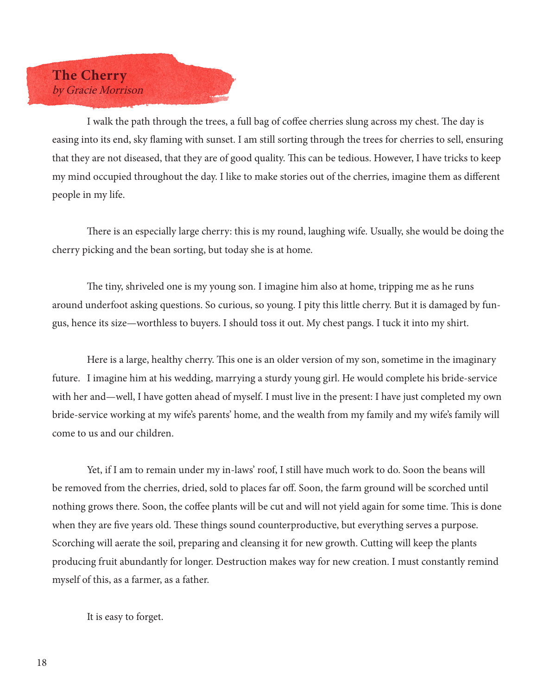

I walk the path through the trees, a full bag of coffee cherries slung across my chest. The day is easing into its end, sky flaming with sunset. I am still sorting through the trees for cherries to sell, ensuring that they are not diseased, that they are of good quality. This can be tedious. However, I have tricks to keep my mind occupied throughout the day. I like to make stories out of the cherries, imagine them as different people in my life.

There is an especially large cherry: this is my round, laughing wife. Usually, she would be doing the cherry picking and the bean sorting, but today she is at home.

The tiny, shriveled one is my young son. I imagine him also at home, tripping me as he runs around underfoot asking questions. So curious, so young. I pity this little cherry. But it is damaged by fungus, hence its size—worthless to buyers. I should toss it out. My chest pangs. I tuck it into my shirt.

Here is a large, healthy cherry. This one is an older version of my son, sometime in the imaginary future. I imagine him at his wedding, marrying a sturdy young girl. He would complete his bride-service with her and—well, I have gotten ahead of myself. I must live in the present: I have just completed my own bride-service working at my wife's parents' home, and the wealth from my family and my wife's family will come to us and our children.

Yet, if I am to remain under my in-laws' roof, I still have much work to do. Soon the beans will be removed from the cherries, dried, sold to places far off. Soon, the farm ground will be scorched until nothing grows there. Soon, the coffee plants will be cut and will not yield again for some time. This is done when they are five years old. These things sound counterproductive, but everything serves a purpose. Scorching will aerate the soil, preparing and cleansing it for new growth. Cutting will keep the plants producing fruit abundantly for longer. Destruction makes way for new creation. I must constantly remind myself of this, as a farmer, as a father.

It is easy to forget.